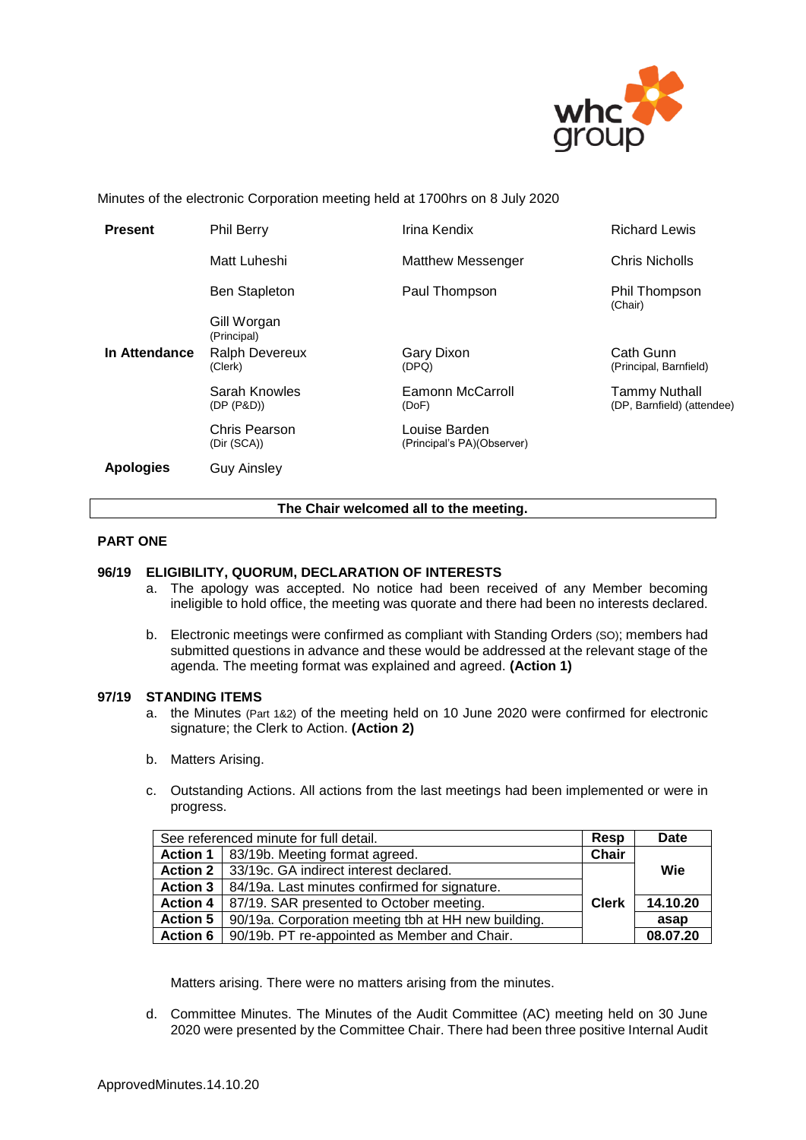

Minutes of the electronic Corporation meeting held at 1700hrs on 8 July 2020

| <b>Present</b>   | <b>Phil Berry</b>                | Irina Kendix                                | <b>Richard Lewis</b>                               |
|------------------|----------------------------------|---------------------------------------------|----------------------------------------------------|
|                  | Matt Luheshi                     | <b>Matthew Messenger</b>                    | <b>Chris Nicholls</b>                              |
|                  | <b>Ben Stapleton</b>             | Paul Thompson                               | Phil Thompson<br>(Chair)                           |
|                  | Gill Worgan<br>(Principal)       |                                             |                                                    |
| In Attendance    | <b>Ralph Devereux</b><br>(Clerk) | Gary Dixon<br>(DPQ)                         | Cath Gunn<br>(Principal, Barnfield)                |
|                  | Sarah Knowles<br>(DP (P&D))      | Eamonn McCarroll<br>(DoF)                   | <b>Tammy Nuthall</b><br>(DP, Barnfield) (attendee) |
|                  | Chris Pearson<br>(Dir (SCA))     | Louise Barden<br>(Principal's PA)(Observer) |                                                    |
| <b>Apologies</b> | <b>Guy Ainsley</b>               |                                             |                                                    |

#### **The Chair welcomed all to the meeting.**

# **PART ONE**

#### **96/19 ELIGIBILITY, QUORUM, DECLARATION OF INTERESTS**

- a. The apology was accepted. No notice had been received of any Member becoming ineligible to hold office, the meeting was quorate and there had been no interests declared.
- b. Electronic meetings were confirmed as compliant with Standing Orders (SO); members had submitted questions in advance and these would be addressed at the relevant stage of the agenda. The meeting format was explained and agreed. **(Action 1)**

#### **97/19 STANDING ITEMS**

- a. the Minutes (Part 1&2) of the meeting held on 10 June 2020 were confirmed for electronic signature; the Clerk to Action. **(Action 2)**
- b. Matters Arising.
- c. Outstanding Actions. All actions from the last meetings had been implemented or were in progress.

| See referenced minute for full detail. |                                                     | Resp               | <b>Date</b> |
|----------------------------------------|-----------------------------------------------------|--------------------|-------------|
|                                        | Action 1   83/19b. Meeting format agreed.           | $\overline{Chair}$ |             |
|                                        | Action 2   33/19c. GA indirect interest declared.   |                    | Wie         |
| <b>Action 3</b>                        | 84/19a. Last minutes confirmed for signature.       |                    |             |
| <b>Action 4</b>                        | 87/19. SAR presented to October meeting.            | <b>Clerk</b>       | 14.10.20    |
| <b>Action 5</b>                        | 90/19a. Corporation meeting tbh at HH new building. |                    | asap        |
| <b>Action 6</b>                        | 90/19b. PT re-appointed as Member and Chair.        |                    | 08.07.20    |

Matters arising. There were no matters arising from the minutes.

d. Committee Minutes. The Minutes of the Audit Committee (AC) meeting held on 30 June 2020 were presented by the Committee Chair. There had been three positive Internal Audit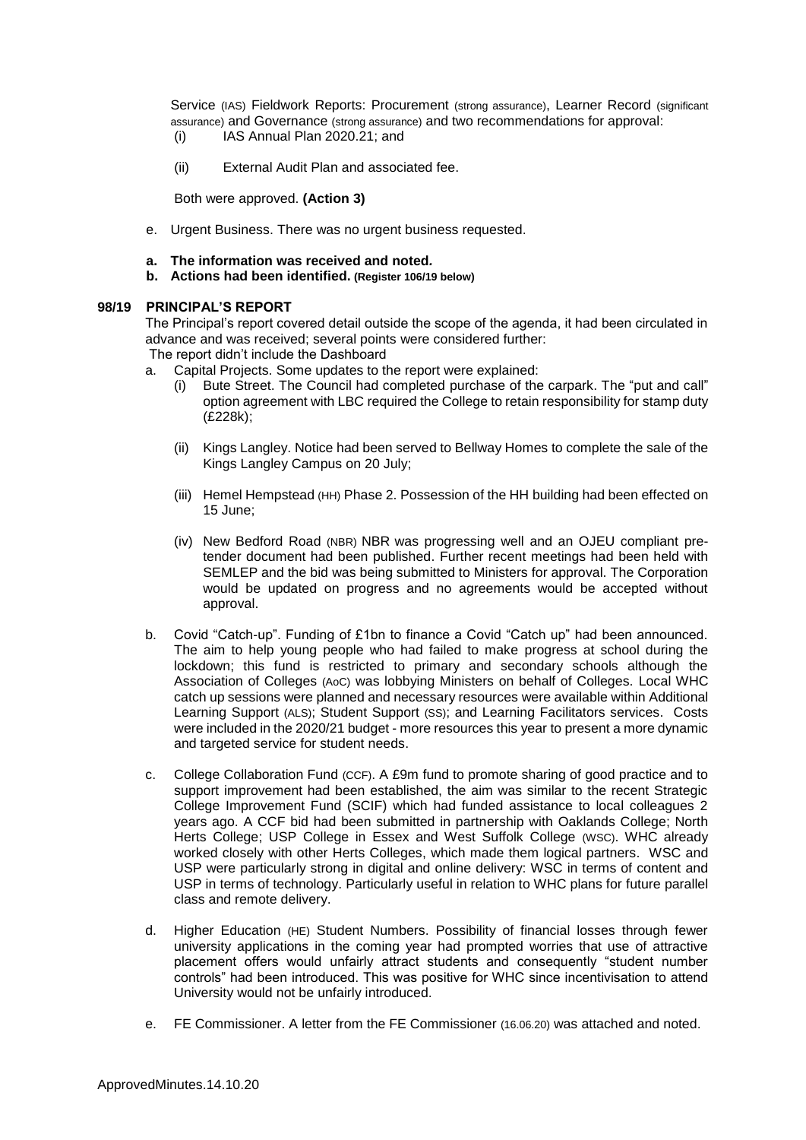Service (IAS) Fieldwork Reports: Procurement (strong assurance), Learner Record (significant assurance) and Governance (strong assurance) and two recommendations for approval: (i) IAS Annual Plan 2020.21; and

(ii) External Audit Plan and associated fee.

Both were approved. **(Action 3)**

- e. Urgent Business. There was no urgent business requested.
- **a. The information was received and noted***.*
- **b. Actions had been identified. (Register 106/19 below)**

# **98/19 PRINCIPAL'S REPORT**

The Principal's report covered detail outside the scope of the agenda, it had been circulated in advance and was received; several points were considered further:

The report didn't include the Dashboard

- a. Capital Projects. Some updates to the report were explained:
	- (i) Bute Street. The Council had completed purchase of the carpark. The "put and call" option agreement with LBC required the College to retain responsibility for stamp duty (£228k);
	- (ii) Kings Langley. Notice had been served to Bellway Homes to complete the sale of the Kings Langley Campus on 20 July;
	- (iii) Hemel Hempstead (HH) Phase 2. Possession of the HH building had been effected on 15 June;
	- (iv) New Bedford Road (NBR) NBR was progressing well and an OJEU compliant pretender document had been published. Further recent meetings had been held with SEMLEP and the bid was being submitted to Ministers for approval. The Corporation would be updated on progress and no agreements would be accepted without approval.
- b. Covid "Catch-up". Funding of £1bn to finance a Covid "Catch up" had been announced. The aim to help young people who had failed to make progress at school during the lockdown; this fund is restricted to primary and secondary schools although the Association of Colleges (AoC) was lobbying Ministers on behalf of Colleges. Local WHC catch up sessions were planned and necessary resources were available within Additional Learning Support (ALS); Student Support (SS); and Learning Facilitators services. Costs were included in the 2020/21 budget - more resources this year to present a more dynamic and targeted service for student needs.
- c. College Collaboration Fund (CCF). A £9m fund to promote sharing of good practice and to support improvement had been established, the aim was similar to the recent Strategic College Improvement Fund (SCIF) which had funded assistance to local colleagues 2 years ago. A CCF bid had been submitted in partnership with Oaklands College; North Herts College; USP College in Essex and West Suffolk College (WSC). WHC already worked closely with other Herts Colleges, which made them logical partners. WSC and USP were particularly strong in digital and online delivery: WSC in terms of content and USP in terms of technology. Particularly useful in relation to WHC plans for future parallel class and remote delivery.
- d. Higher Education (HE) Student Numbers. Possibility of financial losses through fewer university applications in the coming year had prompted worries that use of attractive placement offers would unfairly attract students and consequently "student number controls" had been introduced. This was positive for WHC since incentivisation to attend University would not be unfairly introduced.
- e. FE Commissioner. A letter from the FE Commissioner (16.06.20) was attached and noted.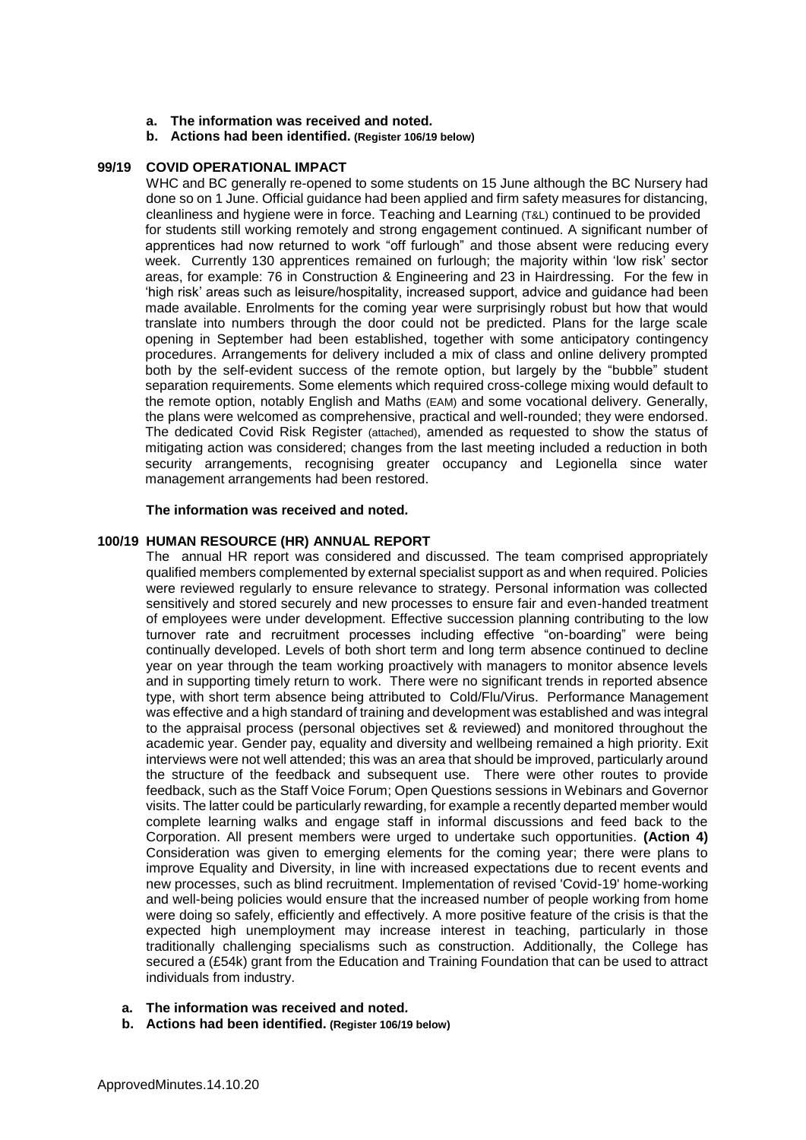- **a. The information was received and noted***.*
- **b. Actions had been identified. (Register 106/19 below)**

# **99/19 COVID OPERATIONAL IMPACT**

WHC and BC generally re-opened to some students on 15 June although the BC Nursery had done so on 1 June. Official guidance had been applied and firm safety measures for distancing, cleanliness and hygiene were in force. Teaching and Learning (T&L) continued to be provided for students still working remotely and strong engagement continued. A significant number of apprentices had now returned to work "off furlough" and those absent were reducing every week. Currently 130 apprentices remained on furlough; the majority within 'low risk' sector areas, for example: 76 in Construction & Engineering and 23 in Hairdressing. For the few in 'high risk' areas such as leisure/hospitality, increased support, advice and guidance had been made available. Enrolments for the coming year were surprisingly robust but how that would translate into numbers through the door could not be predicted. Plans for the large scale opening in September had been established, together with some anticipatory contingency procedures. Arrangements for delivery included a mix of class and online delivery prompted both by the self-evident success of the remote option, but largely by the "bubble" student separation requirements. Some elements which required cross-college mixing would default to the remote option, notably English and Maths (EAM) and some vocational delivery. Generally, the plans were welcomed as comprehensive, practical and well-rounded; they were endorsed. The dedicated Covid Risk Register (attached), amended as requested to show the status of mitigating action was considered; changes from the last meeting included a reduction in both security arrangements, recognising greater occupancy and Legionella since water management arrangements had been restored.

# **The information was received and noted***.*

# **100/19 HUMAN RESOURCE (HR) ANNUAL REPORT**

The annual HR report was considered and discussed. The team comprised appropriately qualified members complemented by external specialist support as and when required. Policies were reviewed regularly to ensure relevance to strategy. Personal information was collected sensitively and stored securely and new processes to ensure fair and even-handed treatment of employees were under development. Effective succession planning contributing to the low turnover rate and recruitment processes including effective "on-boarding" were being continually developed. Levels of both short term and long term absence continued to decline year on year through the team working proactively with managers to monitor absence levels and in supporting timely return to work. There were no significant trends in reported absence type, with short term absence being attributed to Cold/Flu/Virus. Performance Management was effective and a high standard of training and development was established and was integral to the appraisal process (personal objectives set & reviewed) and monitored throughout the academic year. Gender pay, equality and diversity and wellbeing remained a high priority. Exit interviews were not well attended; this was an area that should be improved, particularly around the structure of the feedback and subsequent use. There were other routes to provide feedback, such as the Staff Voice Forum; Open Questions sessions in Webinars and Governor visits. The latter could be particularly rewarding, for example a recently departed member would complete learning walks and engage staff in informal discussions and feed back to the Corporation. All present members were urged to undertake such opportunities. **(Action 4)** Consideration was given to emerging elements for the coming year; there were plans to improve Equality and Diversity, in line with increased expectations due to recent events and new processes, such as blind recruitment. Implementation of revised 'Covid-19' home-working and well-being policies would ensure that the increased number of people working from home were doing so safely, efficiently and effectively. A more positive feature of the crisis is that the expected high unemployment may increase interest in teaching, particularly in those traditionally challenging specialisms such as construction. Additionally, the College has secured a (£54k) grant from the Education and Training Foundation that can be used to attract individuals from industry.

- **a. The information was received and noted***.*
- **b. Actions had been identified. (Register 106/19 below)**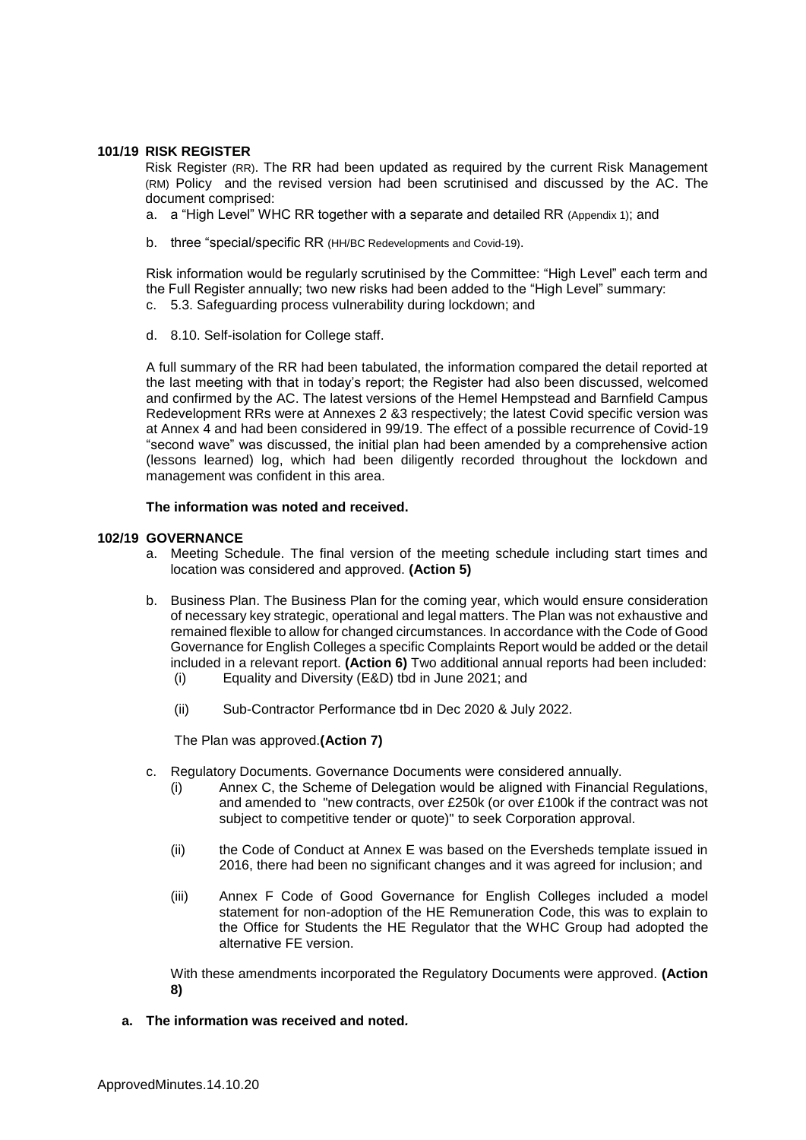### **101/19 RISK REGISTER**

Risk Register (RR). The RR had been updated as required by the current Risk Management (RM) Policy and the revised version had been scrutinised and discussed by the AC. The document comprised:

- a. a "High Level" WHC RR together with a separate and detailed RR (Appendix 1); and
- b. three "special/specific RR (HH/BC Redevelopments and Covid-19).

Risk information would be regularly scrutinised by the Committee: "High Level" each term and the Full Register annually; two new risks had been added to the "High Level" summary: c. 5.3. Safeguarding process vulnerability during lockdown; and

- 
- d. 8.10. Self-isolation for College staff.

A full summary of the RR had been tabulated, the information compared the detail reported at the last meeting with that in today's report; the Register had also been discussed, welcomed and confirmed by the AC. The latest versions of the Hemel Hempstead and Barnfield Campus Redevelopment RRs were at Annexes 2 &3 respectively; the latest Covid specific version was at Annex 4 and had been considered in 99/19. The effect of a possible recurrence of Covid-19 "second wave" was discussed, the initial plan had been amended by a comprehensive action (lessons learned) log, which had been diligently recorded throughout the lockdown and management was confident in this area.

# **The information was noted and received.**

# **102/19 GOVERNANCE**

- a. Meeting Schedule. The final version of the meeting schedule including start times and location was considered and approved. **(Action 5)**
- b. Business Plan. The Business Plan for the coming year, which would ensure consideration of necessary key strategic, operational and legal matters. The Plan was not exhaustive and remained flexible to allow for changed circumstances. In accordance with the Code of Good Governance for English Colleges a specific Complaints Report would be added or the detail included in a relevant report. **(Action 6)** Two additional annual reports had been included: (i) Equality and Diversity (E&D) tbd in June 2021; and
	-
	- (ii) Sub-Contractor Performance tbd in Dec 2020 & July 2022.

The Plan was approved.**(Action 7)**

- c. Regulatory Documents. Governance Documents were considered annually.
	- (i) Annex C, the Scheme of Delegation would be aligned with Financial Regulations, and amended to "new contracts, over £250k (or over £100k if the contract was not subject to competitive tender or quote)" to seek Corporation approval.
	- (ii) the Code of Conduct at Annex E was based on the Eversheds template issued in 2016, there had been no significant changes and it was agreed for inclusion; and
	- (iii) Annex F Code of Good Governance for English Colleges included a model statement for non-adoption of the HE Remuneration Code, this was to explain to the Office for Students the HE Regulator that the WHC Group had adopted the alternative FE version.

With these amendments incorporated the Regulatory Documents were approved. **(Action 8)**

**a. The information was received and noted***.*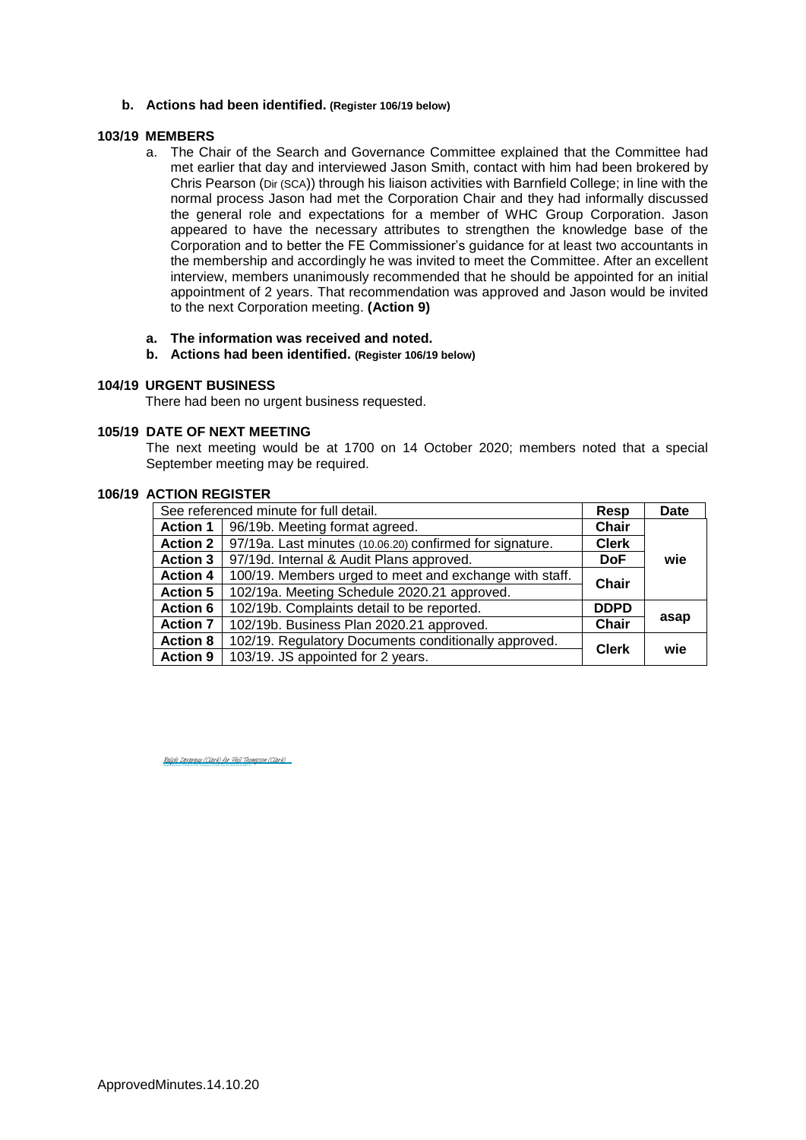#### **b. Actions had been identified. (Register 106/19 below)**

#### **103/19 MEMBERS**

- a. The Chair of the Search and Governance Committee explained that the Committee had met earlier that day and interviewed Jason Smith, contact with him had been brokered by Chris Pearson (Dir (SCA)) through his liaison activities with Barnfield College; in line with the normal process Jason had met the Corporation Chair and they had informally discussed the general role and expectations for a member of WHC Group Corporation. Jason appeared to have the necessary attributes to strengthen the knowledge base of the Corporation and to better the FE Commissioner's guidance for at least two accountants in the membership and accordingly he was invited to meet the Committee. After an excellent interview, members unanimously recommended that he should be appointed for an initial appointment of 2 years. That recommendation was approved and Jason would be invited to the next Corporation meeting. **(Action 9)**
- **a. The information was received and noted***.*
- **b. Actions had been identified. (Register 106/19 below)**

#### **104/19 URGENT BUSINESS**

There had been no urgent business requested.

#### **105/19 DATE OF NEXT MEETING**

The next meeting would be at 1700 on 14 October 2020; members noted that a special September meeting may be required.

#### **106/19 ACTION REGISTER**

| See referenced minute for full detail. |                                                          | Resp         | Date |
|----------------------------------------|----------------------------------------------------------|--------------|------|
| <b>Action 1</b>                        | 96/19b. Meeting format agreed.                           | <b>Chair</b> |      |
| <b>Action 2</b>                        | 97/19a. Last minutes (10.06.20) confirmed for signature. | <b>Clerk</b> |      |
| <b>Action 3</b>                        | 97/19d. Internal & Audit Plans approved.                 | <b>DoF</b>   | wie  |
| <b>Action 4</b>                        | 100/19. Members urged to meet and exchange with staff.   | <b>Chair</b> |      |
| <b>Action 5</b>                        | 102/19a. Meeting Schedule 2020.21 approved.              |              |      |
| <b>Action 6</b>                        | 102/19b. Complaints detail to be reported.               | <b>DDPD</b>  |      |
| <b>Action 7</b>                        | 102/19b. Business Plan 2020.21 approved.                 | <b>Chair</b> | asap |
| <b>Action 8</b>                        | 102/19. Regulatory Documents conditionally approved.     | <b>Clerk</b> | wie  |
| <b>Action 9</b>                        | 103/19. JS appointed for 2 years.                        |              |      |

Ralph Devereux (Clerk) for Phil Thompson (Clerk) (Oct 16, 2020 10:43 GMT+1) [Ralph Devereux \(Clerk\) for Phil Thompson \(Clerk\)](https://eu1.documents.adobe.com/verifier?tx=CBJCHBCAABAAvXV5ZTj3NLMjZ7kZxA7yIjjK5G-vvDwS)